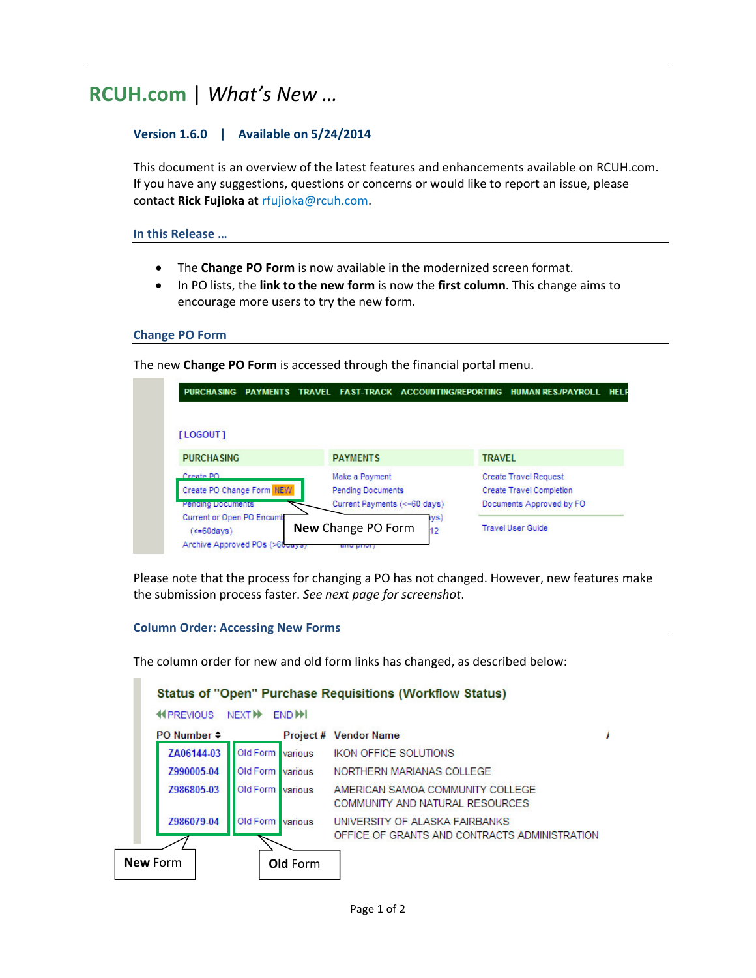# **RCUH.com** | *What's New …*

### **Version 1.6.0 | Available on 5/24/2014**

This document is an overview of the latest features and enhancements available on RCUH.com. If you have any suggestions, questions or concerns or would like to report an issue, please contact **Rick Fujioka** at rfujioka@rcuh.com.

**In this Release …**

- The **Change PO Form** is now available in the modernized screen format.
- In PO lists, the **link to the new form** is now the **first column**. This change aims to encourage more users to try the new form.

#### **Change PO Form**

The new **Change PO Form** is accessed through the financial portal menu.



Please note that the process for changing a PO has not changed. However, new features make the submission process faster. *See next page for screenshot*.

#### **Column Order: Accessing New Forms**

The column order for new and old form links has changed, as described below: